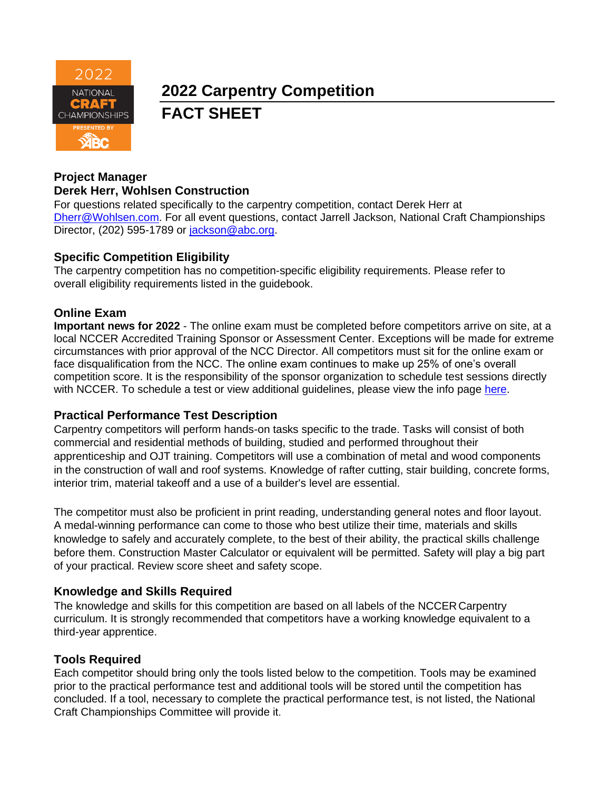

# **2022 Carpentry Competition FACT SHEET**

#### **Project Manager Derek Herr, Wohlsen Construction**

For questions related specifically to the carpentry competition, contact Derek Herr at [Dherr@Wohlsen.com.](mailto:Dherr@Wohlsen.com) For all event questions, contact Jarrell Jackson, National Craft Championships Director, (202) 595-1789 or [jackson@abc.org.](mailto:jackson@abc.org)

### **Specific Competition Eligibility**

The carpentry competition has no competition-specific eligibility requirements. Please refer to overall eligibility requirements listed in the guidebook.

## **Online Exam**

**Important news for 2022** - The online exam must be completed before competitors arrive on site, at a local NCCER Accredited Training Sponsor or Assessment Center. Exceptions will be made for extreme circumstances with prior approval of the NCC Director. All competitors must sit for the online exam or face disqualification from the NCC. The online exam continues to make up 25% of one's overall competition score. It is the responsibility of the sponsor organization to schedule test sessions directly with NCCER. To schedule a test or view additional guidelines, please view the info page [here.](https://abc.org/Portals/1/NCC/National%20Craft%20Championship%20Testing%20Overview%20and%20Registration.pdf?ver=2022-01-31-154655-600)

#### **Practical Performance Test Description**

Carpentry competitors will perform hands-on tasks specific to the trade. Tasks will consist of both commercial and residential methods of building, studied and performed throughout their apprenticeship and OJT training. Competitors will use a combination of metal and wood components in the construction of wall and roof systems. Knowledge of rafter cutting, stair building, concrete forms, interior trim, material takeoff and a use of a builder's level are essential.

The competitor must also be proficient in print reading, understanding general notes and floor layout. A medal-winning performance can come to those who best utilize their time, materials and skills knowledge to safely and accurately complete, to the best of their ability, the practical skills challenge before them. Construction Master Calculator or equivalent will be permitted. Safety will play a big part of your practical. Review score sheet and safety scope.

## **Knowledge and Skills Required**

The knowledge and skills for this competition are based on all labels of the NCCERCarpentry curriculum. It is strongly recommended that competitors have a working knowledge equivalent to a third-year apprentice.

## **Tools Required**

Each competitor should bring only the tools listed below to the competition. Tools may be examined prior to the practical performance test and additional tools will be stored until the competition has concluded. If a tool, necessary to complete the practical performance test, is not listed, the National Craft Championships Committee will provide it.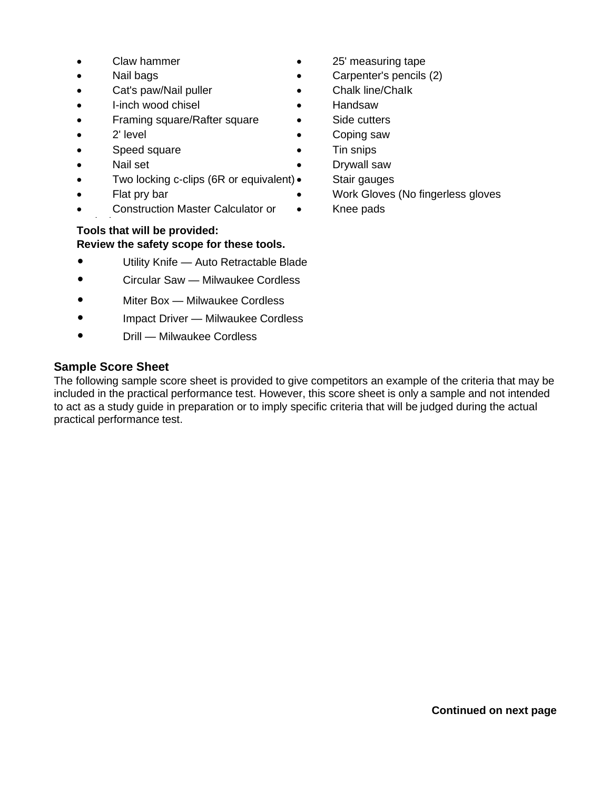- 
- 
- Cat's paw/Nail puller Chalk line/Chalk
- I-inch wood chisel Handsaw
- **Framing square/Rafter square Side cutters**
- 
- Speed square **•** Tin snips
- Nail set **Drywall saw**
- Two locking c-clips (6R or equivalent) Stair gauges
- 
- Construction Master Calculator or •
- equivalent **Tools that will be provided: Review the safety scope for these tools.**
- Utility Knife Auto Retractable Blade
- Circular Saw Milwaukee Cordless
- Miter Box Milwaukee Cordless
- Impact Driver Milwaukee Cordless
- Drill Milwaukee Cordless

### **Sample Score Sheet**

The following sample score sheet is provided to give competitors an example of the criteria that may be included in the practical performance test. However, this score sheet is only a sample and not intended to act as a study guide in preparation or to imply specific criteria that will be judged during the actual practical performance test.

- Claw hammer 25' measuring tape
- Nail bags  **Carpenter's pencils (2)** 
	-
	-
	-
- 2' level **•** Coping saw
	- -
		-
- • Flat pry bar • Work Gloves (No fingerless gloves
	- Knee pads